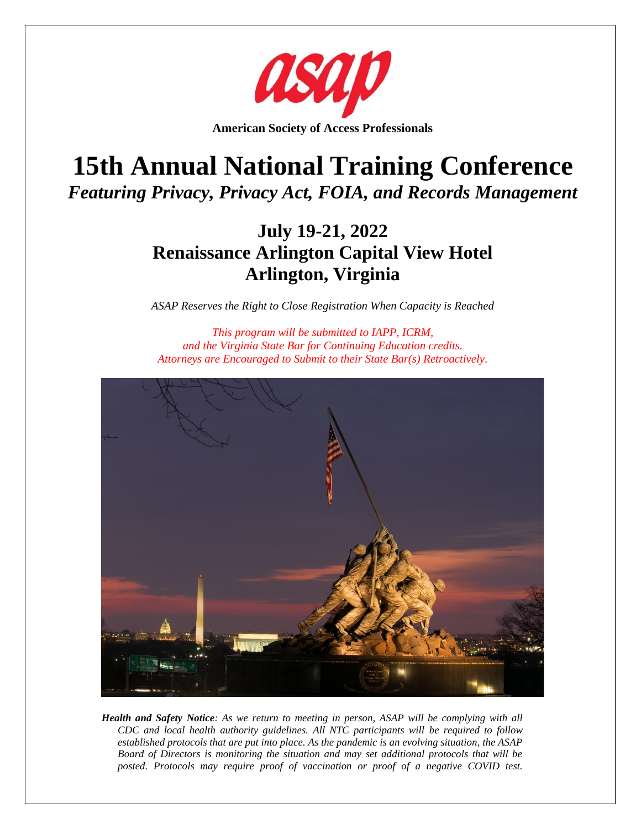

**American Society of Access Professionals**

# **15th Annual National Training Conference** *Featuring Privacy, Privacy Act, FOIA, and Records Management*

## **July 19-21, 2022 Renaissance Arlington Capital View Hotel Arlington, Virginia**

*ASAP Reserves the Right to Close Registration When Capacity is Reached*

*This program will be submitted to IAPP, ICRM, and the Virginia State Bar for Continuing Education credits. Attorneys are Encouraged to Submit to their State Bar(s) Retroactively.*



*Health and Safety Notice: As we return to meeting in person, ASAP will be complying with all CDC and local health authority guidelines. All NTC participants will be required to follow established protocols that are put into place. As the pandemic is an evolving situation, the ASAP Board of Directors is monitoring the situation and may set additional protocols that will be posted. Protocols may require proof of vaccination or proof of a negative COVID test.*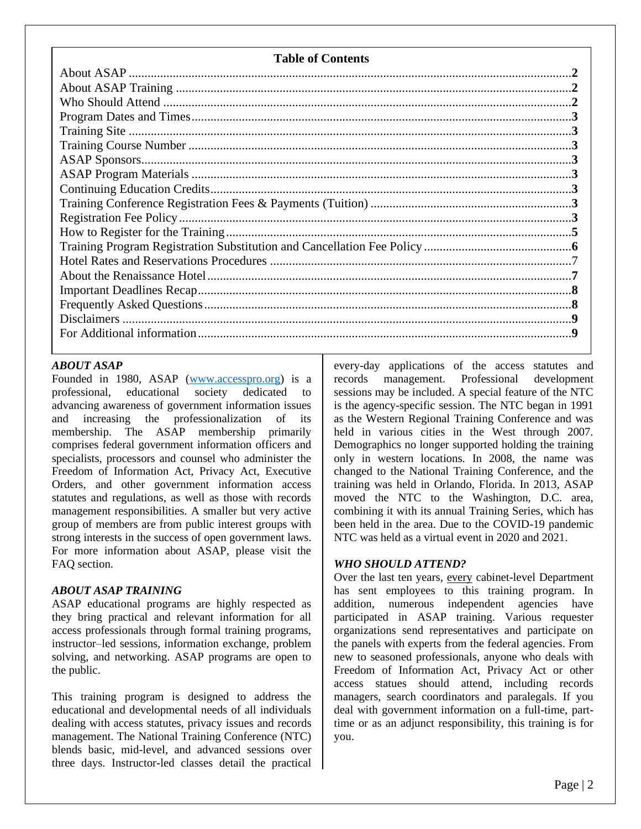|  |  | <b>Table of Contents</b> |
|--|--|--------------------------|
|--|--|--------------------------|

#### *ABOUT ASAP*

Founded in 1980, ASAP [\(www.accesspro.org\)](http://www.accesspro.org/) is a professional, educational society dedicated to advancing awareness of government information issues and increasing the professionalization of its membership. The ASAP membership primarily comprises federal government information officers and specialists, processors and counsel who administer the Freedom of Information Act, Privacy Act, Executive Orders, and other government information access statutes and regulations, as well as those with records management responsibilities. A smaller but very active group of members are from public interest groups with strong interests in the success of open government laws. For more information about ASAP, please visit the FAQ section.

#### *ABOUT ASAP TRAINING*

ASAP educational programs are highly respected as they bring practical and relevant information for all access professionals through formal training programs, instructor–led sessions, information exchange, problem solving, and networking. ASAP programs are open to the public.

This training program is designed to address the educational and developmental needs of all individuals dealing with access statutes, privacy issues and records management. The National Training Conference (NTC) blends basic, mid-level, and advanced sessions over three days. Instructor-led classes detail the practical every-day applications of the access statutes and records management. Professional development sessions may be included. A special feature of the NTC is the agency-specific session. The NTC began in 1991 as the Western Regional Training Conference and was held in various cities in the West through 2007. Demographics no longer supported holding the training only in western locations. In 2008, the name was changed to the National Training Conference, and the training was held in Orlando, Florida. In 2013, ASAP moved the NTC to the Washington, D.C. area, combining it with its annual Training Series, which has been held in the area. Due to the COVID-19 pandemic NTC was held as a virtual event in 2020 and 2021.

#### *WHO SHOULD ATTEND?*

Over the last ten years, every cabinet-level Department has sent employees to this training program. In addition, numerous independent agencies have participated in ASAP training. Various requester organizations send representatives and participate on the panels with experts from the federal agencies. From new to seasoned professionals, anyone who deals with Freedom of Information Act, Privacy Act or other access statues should attend, including records managers, search coordinators and paralegals. If you deal with government information on a full-time, parttime or as an adjunct responsibility, this training is for you.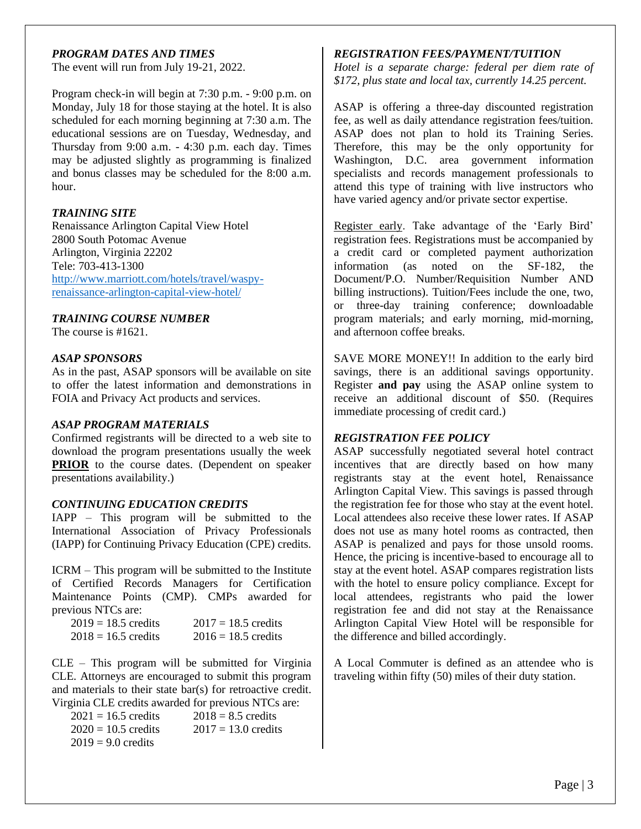#### *PROGRAM DATES AND TIMES*

The event will run from July 19-21, 2022.

Program check-in will begin at 7:30 p.m. - 9:00 p.m. on Monday, July 18 for those staying at the hotel. It is also scheduled for each morning beginning at 7:30 a.m. The educational sessions are on Tuesday, Wednesday, and Thursday from 9:00 a.m. - 4:30 p.m. each day. Times may be adjusted slightly as programming is finalized and bonus classes may be scheduled for the 8:00 a.m. hour.

#### *TRAINING SITE*

Renaissance Arlington Capital View Hotel 2800 South Potomac Avenue Arlington, Virginia 22202 Tele: 703-413-1300 [http://www.marriott.com/hotels/travel/waspy](http://www.marriott.com/hotels/travel/waspy-renaissance-arlington-capital-view-hotel/)[renaissance-arlington-capital-view-hotel/](http://www.marriott.com/hotels/travel/waspy-renaissance-arlington-capital-view-hotel/)

#### *TRAINING COURSE NUMBER*

The course is #1621.

#### *ASAP SPONSORS*

As in the past, ASAP sponsors will be available on site to offer the latest information and demonstrations in FOIA and Privacy Act products and services.

#### *ASAP PROGRAM MATERIALS*

Confirmed registrants will be directed to a web site to download the program presentations usually the week **PRIOR** to the course dates. (Dependent on speaker presentations availability.)

#### *CONTINUING EDUCATION CREDITS*

IAPP – This program will be submitted to the International Association of Privacy Professionals (IAPP) for Continuing Privacy Education (CPE) credits.

ICRM – This program will be submitted to the Institute of Certified Records Managers for Certification Maintenance Points (CMP). CMPs awarded for previous NTCs are:

| $2019 = 18.5$ credits | $2017 = 18.5$ credits |
|-----------------------|-----------------------|
| $2018 = 16.5$ credits | $2016 = 18.5$ credits |

CLE – This program will be submitted for Virginia CLE. Attorneys are encouraged to submit this program and materials to their state bar(s) for retroactive credit. Virginia CLE credits awarded for previous NTCs are:

| $2021 = 16.5$ credits | $2018 = 8.5$ credits  |
|-----------------------|-----------------------|
| $2020 = 10.5$ credits | $2017 = 13.0$ credits |
| $2019 = 9.0$ credits  |                       |

#### *REGISTRATION FEES/PAYMENT/TUITION*

*Hotel is a separate charge: federal per diem rate of \$172, plus state and local tax, currently 14.25 percent.*

ASAP is offering a three-day discounted registration fee, as well as daily attendance registration fees/tuition. ASAP does not plan to hold its Training Series. Therefore, this may be the only opportunity for Washington, D.C. area government information specialists and records management professionals to attend this type of training with live instructors who have varied agency and/or private sector expertise.

Register early. Take advantage of the 'Early Bird' registration fees. Registrations must be accompanied by a credit card or completed payment authorization information (as noted on the SF-182, the Document/P.O. Number/Requisition Number AND billing instructions). Tuition/Fees include the one, two, or three-day training conference; downloadable program materials; and early morning, mid-morning, and afternoon coffee breaks.

SAVE MORE MONEY!! In addition to the early bird savings, there is an additional savings opportunity. Register **and pay** using the ASAP online system to receive an additional discount of \$50. (Requires immediate processing of credit card.)

#### *REGISTRATION FEE POLICY*

ASAP successfully negotiated several hotel contract incentives that are directly based on how many registrants stay at the event hotel, Renaissance Arlington Capital View. This savings is passed through the registration fee for those who stay at the event hotel. Local attendees also receive these lower rates. If ASAP does not use as many hotel rooms as contracted, then ASAP is penalized and pays for those unsold rooms. Hence, the pricing is incentive-based to encourage all to stay at the event hotel. ASAP compares registration lists with the hotel to ensure policy compliance. Except for local attendees, registrants who paid the lower registration fee and did not stay at the Renaissance Arlington Capital View Hotel will be responsible for the difference and billed accordingly.

A Local Commuter is defined as an attendee who is traveling within fifty (50) miles of their duty station.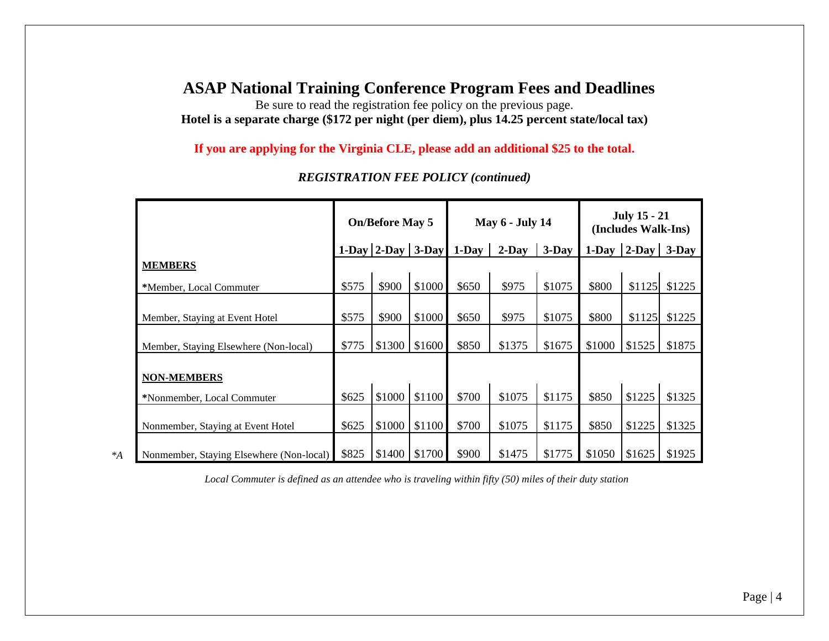### **ASAP National Training Conference Program Fees and Deadlines**

Be sure to read the registration fee policy on the previous page. **Hotel is a separate charge (\$172 per night (per diem), plus 14.25 percent state/local tax)**

**If you are applying for the Virginia CLE, please add an additional \$25 to the total.**

|                                          | <b>On/Before May 5</b> |                   |        | <b>May 6 - July 14</b> |          |          | <b>July 15 - 21</b><br>(Includes Walk-Ins) |                 |        |
|------------------------------------------|------------------------|-------------------|--------|------------------------|----------|----------|--------------------------------------------|-----------------|--------|
|                                          |                        | 1-Day 2-Day 3-Day |        | $1$ -Day               | $2$ -Day | $3$ -Day | $1-Dav$                                    | $ 2-Day $ 3-Day |        |
| <b>MEMBERS</b>                           |                        |                   |        |                        |          |          |                                            |                 |        |
| *Member, Local Commuter                  | \$575                  | \$900             | \$1000 | \$650                  | \$975    | \$1075   | \$800                                      | \$1125          | \$1225 |
| Member, Staying at Event Hotel           | \$575                  | \$900             | \$1000 | \$650                  | \$975    | \$1075   | \$800                                      | \$1125          | \$1225 |
| Member, Staying Elsewhere (Non-local)    | \$775                  | \$1300            | \$1600 | \$850                  | \$1375   | \$1675   | \$1000                                     | \$1525          | \$1875 |
| <b>NON-MEMBERS</b>                       |                        |                   |        |                        |          |          |                                            |                 |        |
| *Nonmember, Local Commuter               | \$625                  | \$1000            | \$1100 | \$700                  | \$1075   | \$1175   | \$850                                      | \$1225          | \$1325 |
| Nonmember, Staying at Event Hotel        | \$625                  | \$1000            | \$1100 | \$700                  | \$1075   | \$1175   | \$850                                      | \$1225          | \$1325 |
| Nonmember, Staying Elsewhere (Non-local) | \$825                  | \$1400            | \$1700 | \$900                  | \$1475   | \$1775   | \$1050                                     | \$1625          | \$1925 |

*REGISTRATION FEE POLICY (continued)*

*Local Commuter is defined as an attendee who is traveling within fifty (50) miles of their duty station*

*\*A*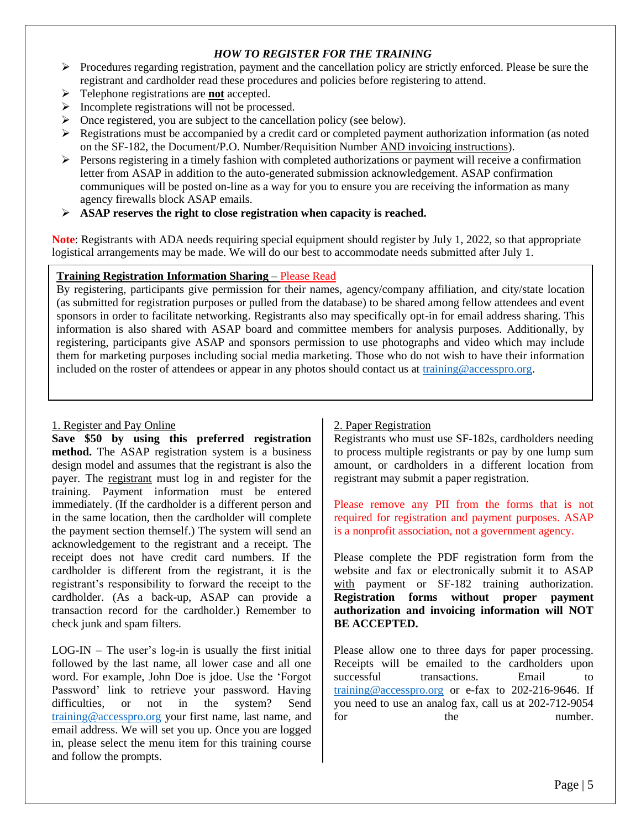#### *HOW TO REGISTER FOR THE TRAINING*

- $\triangleright$  Procedures regarding registration, payment and the cancellation policy are strictly enforced. Please be sure the registrant and cardholder read these procedures and policies before registering to attend.
- ➢ Telephone registrations are **not** accepted.
- ➢ Incomplete registrations will not be processed.
- ➢ Once registered, you are subject to the cancellation policy (see below).
- $\triangleright$  Registrations must be accompanied by a credit card or completed payment authorization information (as noted on the SF-182, the Document/P.O. Number/Requisition Number AND invoicing instructions).
- $\triangleright$  Persons registering in a timely fashion with completed authorizations or payment will receive a confirmation letter from ASAP in addition to the auto-generated submission acknowledgement. ASAP confirmation communiques will be posted on-line as a way for you to ensure you are receiving the information as many agency firewalls block ASAP emails.
- ➢ **ASAP reserves the right to close registration when capacity is reached.**

**Note**: Registrants with ADA needs requiring special equipment should register by July 1, 2022, so that appropriate logistical arrangements may be made. We will do our best to accommodate needs submitted after July 1.

#### **Training Registration Information Sharing** – Please Read

By registering, participants give permission for their names, agency/company affiliation, and city/state location (as submitted for registration purposes or pulled from the database) to be shared among fellow attendees and event sponsors in order to facilitate networking. Registrants also may specifically opt-in for email address sharing. This information is also shared with ASAP board and committee members for analysis purposes. Additionally, by registering, participants give ASAP and sponsors permission to use photographs and video which may include them for marketing purposes including social media marketing. Those who do not wish to have their information included on the roster of attendees or appear in any photos should contact us at [training@accesspro.org.](mailto:asap@accesspro.org)

#### 1. Register and Pay Online

**Save \$50 by using this preferred registration method.** The ASAP registration system is a business design model and assumes that the registrant is also the payer. The registrant must log in and register for the training. Payment information must be entered immediately. (If the cardholder is a different person and in the same location, then the cardholder will complete the payment section themself.) The system will send an acknowledgement to the registrant and a receipt. The receipt does not have credit card numbers. If the cardholder is different from the registrant, it is the registrant's responsibility to forward the receipt to the cardholder. (As a back-up, ASAP can provide a transaction record for the cardholder.) Remember to check junk and spam filters.

 $LOG-IN - The user's log-in is usually the first initial$ followed by the last name, all lower case and all one word. For example, John Doe is jdoe. Use the 'Forgot Password' link to retrieve your password. Having difficulties, or not in the system? Send [training@accesspro.org](mailto:asap@accesspro.org) your first name, last name, and email address. We will set you up. Once you are logged in, please select the menu item for this training course and follow the prompts.

#### 2. Paper Registration

Registrants who must use SF-182s, cardholders needing to process multiple registrants or pay by one lump sum amount, or cardholders in a different location from registrant may submit a paper registration.

Please remove any PII from the forms that is not required for registration and payment purposes. ASAP is a nonprofit association, not a government agency.

Please complete the PDF registration form from the website and fax or electronically submit it to ASAP with payment or SF-182 training authorization. **Registration forms without proper payment authorization and invoicing information will NOT BE ACCEPTED.**

Please allow one to three days for paper processing. Receipts will be emailed to the cardholders upon successful transactions. Email [training@accesspro.org](mailto:asap@accesspro.org) or e-fax to 202-216-9646. If you need to use an analog fax, call us at 202-712-9054 for the number.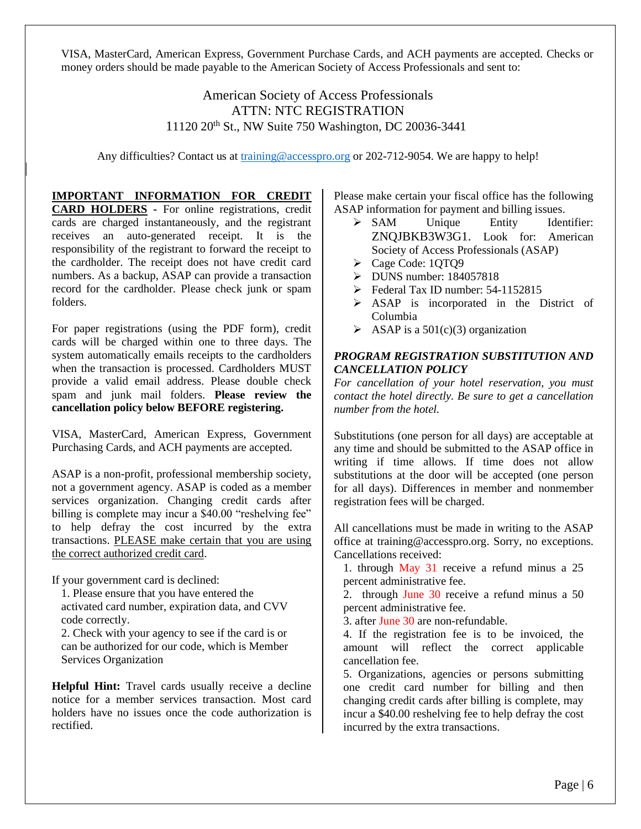VISA, MasterCard, American Express, Government Purchase Cards, and ACH payments are accepted. Checks or money orders should be made payable to the American Society of Access Professionals and sent to:

#### American Society of Access Professionals ATTN: NTC REGISTRATION 11120 20th St., NW Suite 750 Washington, DC 20036-3441

Any difficulties? Contact us at [training@accesspro.org](mailto:asap@accesspro.org) or 202-712-9054. We are happy to help!

**IMPORTANT INFORMATION FOR CREDIT CARD HOLDERS -** For online registrations, credit cards are charged instantaneously, and the registrant receives an auto-generated receipt. It is the responsibility of the registrant to forward the receipt to the cardholder. The receipt does not have credit card numbers. As a backup, ASAP can provide a transaction record for the cardholder. Please check junk or spam folders.

For paper registrations (using the PDF form), credit cards will be charged within one to three days. The system automatically emails receipts to the cardholders when the transaction is processed. Cardholders MUST provide a valid email address. Please double check spam and junk mail folders. **Please review the cancellation policy below BEFORE registering.**

VISA, MasterCard, American Express, Government Purchasing Cards, and ACH payments are accepted.

ASAP is a non-profit, professional membership society, not a government agency. ASAP is coded as a member services organization. Changing credit cards after billing is complete may incur a \$40.00 "reshelving fee" to help defray the cost incurred by the extra transactions. PLEASE make certain that you are using the correct authorized credit card.

If your government card is declined:

1. Please ensure that you have entered the activated card number, expiration data, and CVV code correctly.

2. Check with your agency to see if the card is or can be authorized for our code, which is Member Services Organization

**Helpful Hint:** Travel cards usually receive a decline notice for a member services transaction. Most card holders have no issues once the code authorization is rectified.

Please make certain your fiscal office has the following ASAP information for payment and billing issues.

- ➢ SAM Unique Entity Identifier: ZNQJBKB3W3G1. Look for: American Society of Access Professionals (ASAP)
- ➢ Cage Code: 1QTQ9
- ➢ DUNS number: 184057818
- $\triangleright$  Federal Tax ID number: 54-1152815
- ➢ ASAP is incorporated in the District of Columbia
- $\triangleright$  ASAP is a 501(c)(3) organization

#### *PROGRAM REGISTRATION SUBSTITUTION AND CANCELLATION POLICY*

*For cancellation of your hotel reservation, you must contact the hotel directly. Be sure to get a cancellation number from the hotel.*

Substitutions (one person for all days) are acceptable at any time and should be submitted to the ASAP office in writing if time allows. If time does not allow substitutions at the door will be accepted (one person for all days). Differences in member and nonmember registration fees will be charged.

All cancellations must be made in writing to the ASAP office at training@accesspro.org. Sorry, no exceptions. Cancellations received:

1. through May 31 receive a refund minus a 25 percent administrative fee.

2. through June 30 receive a refund minus a 50 percent administrative fee.

3. after June 30 are non-refundable.

4. If the registration fee is to be invoiced, the amount will reflect the correct applicable cancellation fee.

5. Organizations, agencies or persons submitting one credit card number for billing and then changing credit cards after billing is complete, may incur a \$40.00 reshelving fee to help defray the cost incurred by the extra transactions.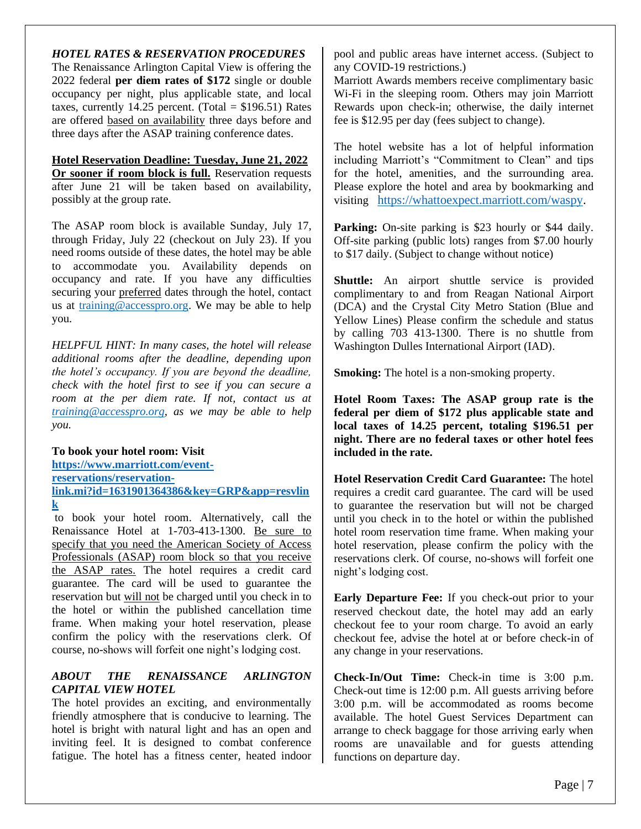#### *HOTEL RATES & RESERVATION PROCEDURES*

The Renaissance Arlington Capital View is offering the 2022 federal **per diem rates of \$172** single or double occupancy per night, plus applicable state, and local taxes, currently 14.25 percent. (Total =  $$196.51$ ) Rates are offered based on availability three days before and three days after the ASAP training conference dates.

#### **Hotel Reservation Deadline: Tuesday, June 21, 2022**

**Or sooner if room block is full.** Reservation requests after June 21 will be taken based on availability, possibly at the group rate.

The ASAP room block is available Sunday, July 17, through Friday, July 22 (checkout on July 23). If you need rooms outside of these dates, the hotel may be able to accommodate you. Availability depends on occupancy and rate. If you have any difficulties securing your preferred dates through the hotel, contact us at [training@accesspro.org.](mailto:asap@accesspro.org) We may be able to help you.

*HELPFUL HINT: In many cases, the hotel will release additional rooms after the deadline, depending upon the hotel's occupancy. If you are beyond the deadline, check with the hotel first to see if you can secure a room at the per diem rate. If not, contact us at [training@accesspro.org,](mailto:asap@accesspro.org) as we may be able to help you.*

#### **To book your hotel room: Visit**

**[https://www.marriott.com/event](https://www.marriott.com/event-reservations/reservation-link.mi?id=1631901364386&key=GRP&app=resvlink)[reservations/reservation](https://www.marriott.com/event-reservations/reservation-link.mi?id=1631901364386&key=GRP&app=resvlink)[link.mi?id=1631901364386&key=GRP&app=resvlin](https://www.marriott.com/event-reservations/reservation-link.mi?id=1631901364386&key=GRP&app=resvlink) [k](https://www.marriott.com/event-reservations/reservation-link.mi?id=1631901364386&key=GRP&app=resvlink)**

to book your hotel room. Alternatively, call the Renaissance Hotel at 1-703-413-1300. Be sure to specify that you need the American Society of Access Professionals (ASAP) room block so that you receive the ASAP rates. The hotel requires a credit card guarantee. The card will be used to guarantee the reservation but will not be charged until you check in to the hotel or within the published cancellation time frame. When making your hotel reservation, please confirm the policy with the reservations clerk. Of course, no-shows will forfeit one night's lodging cost.

#### *ABOUT THE RENAISSANCE ARLINGTON CAPITAL VIEW HOTEL*

The hotel provides an exciting, and environmentally friendly atmosphere that is conducive to learning. The hotel is bright with natural light and has an open and inviting feel. It is designed to combat conference fatigue. The hotel has a fitness center, heated indoor pool and public areas have internet access. (Subject to any COVID-19 restrictions.)

Marriott Awards members receive complimentary basic Wi-Fi in the sleeping room. Others may join Marriott Rewards upon check-in; otherwise, the daily internet fee is \$12.95 per day (fees subject to change).

The hotel website has a lot of helpful information including Marriott's "Commitment to Clean" and tips for the hotel, amenities, and the surrounding area. Please explore the hotel and area by bookmarking and visiting [https://whattoexpect.marriott.com/waspy.](https://whattoexpect.marriott.com/waspy)

**Parking:** On-site parking is \$23 hourly or \$44 daily. Off-site parking (public lots) ranges from \$7.00 hourly to \$17 daily. (Subject to change without notice)

**Shuttle:** An airport shuttle service is provided complimentary to and from Reagan National Airport (DCA) and the Crystal City Metro Station (Blue and Yellow Lines) Please confirm the schedule and status by calling 703 413-1300. There is no shuttle from Washington Dulles International Airport (IAD).

**Smoking:** The hotel is a non-smoking property.

**Hotel Room Taxes: The ASAP group rate is the federal per diem of \$172 plus applicable state and local taxes of 14.25 percent, totaling \$196.51 per night. There are no federal taxes or other hotel fees included in the rate.**

**Hotel Reservation Credit Card Guarantee:** The hotel requires a credit card guarantee. The card will be used to guarantee the reservation but will not be charged until you check in to the hotel or within the published hotel room reservation time frame. When making your hotel reservation, please confirm the policy with the reservations clerk. Of course, no-shows will forfeit one night's lodging cost.

**Early Departure Fee:** If you check-out prior to your reserved checkout date, the hotel may add an early checkout fee to your room charge. To avoid an early checkout fee, advise the hotel at or before check-in of any change in your reservations.

**Check-In/Out Time:** Check-in time is 3:00 p.m. Check-out time is 12:00 p.m. All guests arriving before 3:00 p.m. will be accommodated as rooms become available. The hotel Guest Services Department can arrange to check baggage for those arriving early when rooms are unavailable and for guests attending functions on departure day.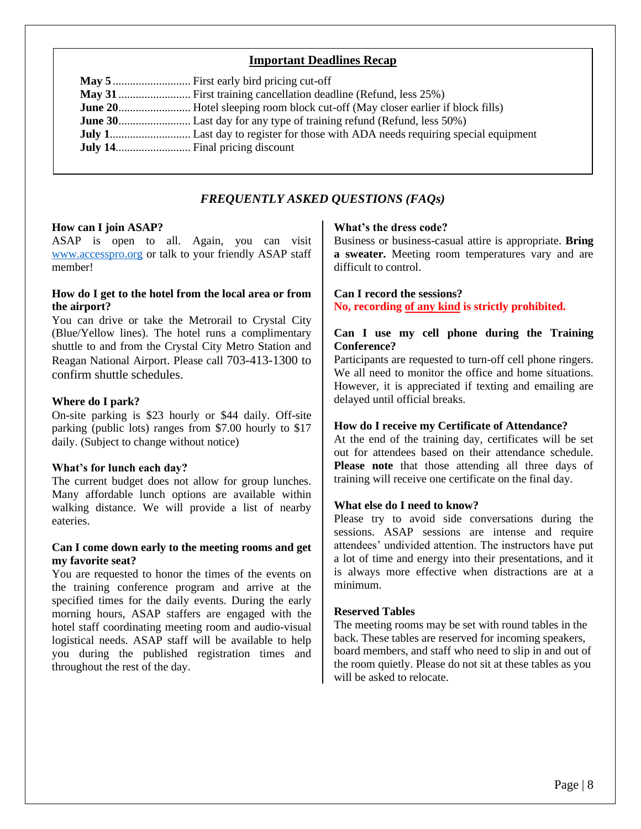#### **Important Deadlines Recap**

#### *FREQUENTLY ASKED QUESTIONS (FAQs)*

#### **How can I join ASAP?**

ASAP is open to all. Again, you can visit [www.accesspro.org](http://www.accesspro.org/) or talk to your friendly ASAP staff member!

#### **How do I get to the hotel from the local area or from the airport?**

You can drive or take the Metrorail to Crystal City (Blue/Yellow lines). The hotel runs a complimentary shuttle to and from the Crystal City Metro Station and Reagan National Airport. Please call 703-413-1300 to confirm shuttle schedules.

#### **Where do I park?**

On-site parking is \$23 hourly or \$44 daily. Off-site parking (public lots) ranges from \$7.00 hourly to \$17 daily. (Subject to change without notice)

#### **What's for lunch each day?**

The current budget does not allow for group lunches. Many affordable lunch options are available within walking distance. We will provide a list of nearby eateries.

#### **Can I come down early to the meeting rooms and get my favorite seat?**

You are requested to honor the times of the events on the training conference program and arrive at the specified times for the daily events. During the early morning hours, ASAP staffers are engaged with the hotel staff coordinating meeting room and audio-visual logistical needs. ASAP staff will be available to help you during the published registration times and throughout the rest of the day.

#### **What's the dress code?**

Business or business-casual attire is appropriate. **Bring a sweater.** Meeting room temperatures vary and are difficult to control.

#### **Can I record the sessions? No, recording of any kind is strictly prohibited.**

#### **Can I use my cell phone during the Training Conference?**

Participants are requested to turn-off cell phone ringers. We all need to monitor the office and home situations. However, it is appreciated if texting and emailing are delayed until official breaks.

#### **How do I receive my Certificate of Attendance?**

At the end of the training day, certificates will be set out for attendees based on their attendance schedule. **Please note** that those attending all three days of training will receive one certificate on the final day.

#### **What else do I need to know?**

Please try to avoid side conversations during the sessions. ASAP sessions are intense and require attendees' undivided attention. The instructors have put a lot of time and energy into their presentations, and it is always more effective when distractions are at a minimum.

#### **Reserved Tables**

The meeting rooms may be set with round tables in the back. These tables are reserved for incoming speakers, board members, and staff who need to slip in and out of the room quietly. Please do not sit at these tables as you will be asked to relocate.